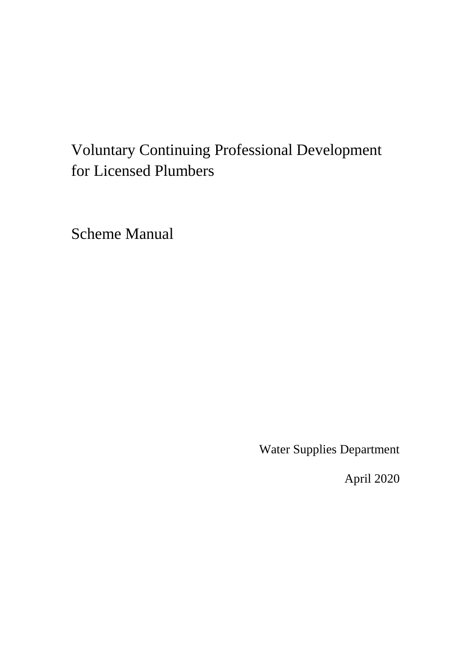# Voluntary Continuing Professional Development for Licensed Plumbers

Scheme Manual

Water Supplies Department

April 2020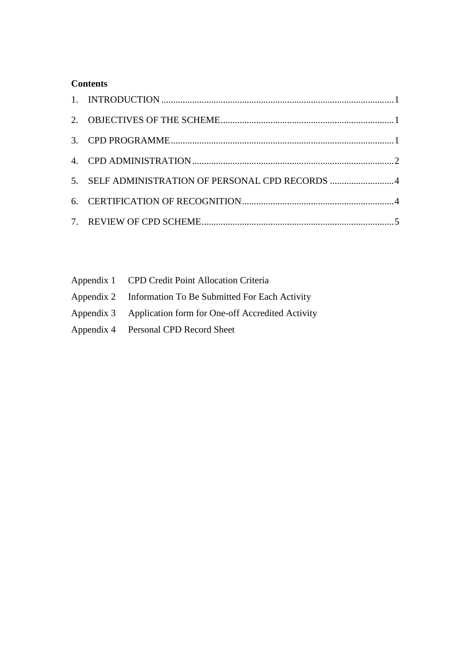#### **Contents**

| 5. SELF ADMINISTRATION OF PERSONAL CPD RECORDS 4 |  |
|--------------------------------------------------|--|
|                                                  |  |
|                                                  |  |

| Appendix 1 CPD Credit Point Allocation Criteria             |
|-------------------------------------------------------------|
| Appendix 2 Information To Be Submitted For Each Activity    |
| Appendix 3 Application form for One-off Accredited Activity |
| Appendix 4 Personal CPD Record Sheet                        |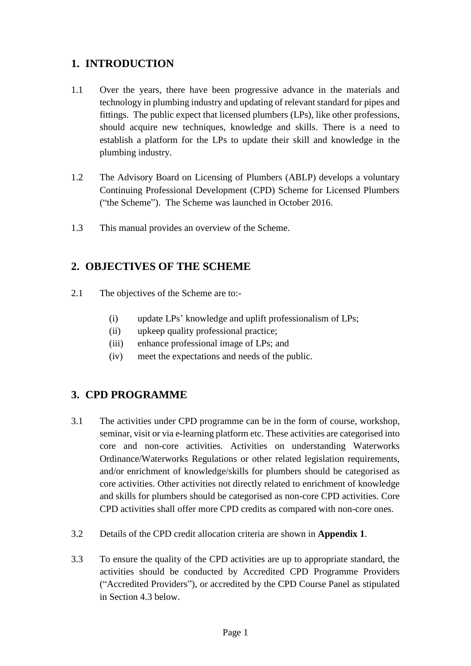## <span id="page-2-0"></span>**1. INTRODUCTION**

- 1.1 Over the years, there have been progressive advance in the materials and technology in plumbing industry and updating of relevant standard for pipes and fittings. The public expect that licensed plumbers (LPs), like other professions, should acquire new techniques, knowledge and skills. There is a need to establish a platform for the LPs to update their skill and knowledge in the plumbing industry.
- 1.2 The Advisory Board on Licensing of Plumbers (ABLP) develops a voluntary Continuing Professional Development (CPD) Scheme for Licensed Plumbers ("the Scheme"). The Scheme was launched in October 2016.
- 1.3 This manual provides an overview of the Scheme.

## <span id="page-2-1"></span>**2. OBJECTIVES OF THE SCHEME**

- 2.1 The objectives of the Scheme are to:-
	- (i) update LPs' knowledge and uplift professionalism of LPs;
	- (ii) upkeep quality professional practice;
	- (iii) enhance professional image of LPs; and
	- (iv) meet the expectations and needs of the public.

### <span id="page-2-2"></span>**3. CPD PROGRAMME**

- core activities. Other activities not directly related to enrichment of knowledge 3.1 The activities under CPD programme can be in the form of course, workshop, seminar, visit or via e-learning platform etc. These activities are categorised into core and non-core activities. Activities on understanding Waterworks Ordinance/Waterworks Regulations or other related legislation requirements, and/or enrichment of knowledge/skills for plumbers should be categorised as and skills for plumbers should be categorised as non-core CPD activities. Core CPD activities shall offer more CPD credits as compared with non-core ones.
- 3.2 Details of the CPD credit allocation criteria are shown in **Appendix 1**.
- 3.3 To ensure the quality of the CPD activities are up to appropriate standard, the activities should be conducted by Accredited CPD Programme Providers ("Accredited Providers"), or accredited by the CPD Course Panel as stipulated in Section 4.3 below.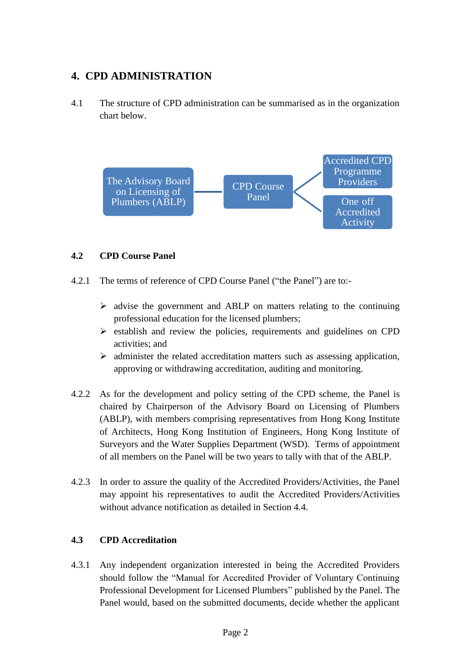## <span id="page-3-0"></span>**4. CPD ADMINISTRATION**

 4.1 The structure of CPD administration can be summarised as in the organization chart below.



#### **4.2 CPD Course Panel**

- 4.2.1 The terms of reference of CPD Course Panel ("the Panel") are to:-
	- $\triangleright$  advise the government and ABLP on matters relating to the continuing professional education for the licensed plumbers;
	- $\triangleright$  establish and review the policies, requirements and guidelines on CPD activities; and
	- $\triangleright$  administer the related accreditation matters such as assessing application, approving or withdrawing accreditation, auditing and monitoring.
- 4.2.2 As for the development and policy setting of the CPD scheme, the Panel is (ABLP), with members comprising representatives from Hong Kong Institute of Architects, Hong Kong Institution of Engineers, Hong Kong Institute of chaired by Chairperson of the Advisory Board on Licensing of Plumbers Surveyors and the Water Supplies Department (WSD). Terms of appointment of all members on the Panel will be two years to tally with that of the ABLP.
- 4.2.3 In order to assure the quality of the Accredited Providers/Activities, the Panel may appoint his representatives to audit the Accredited Providers/Activities without advance notification as detailed in Section 4.4.

#### **4.3 CPD Accreditation**

4.3.1 Any independent organization interested in being the Accredited Providers should follow the "Manual for Accredited Provider of Voluntary Continuing Professional Development for Licensed Plumbers" published by the Panel. The Panel would, based on the submitted documents, decide whether the applicant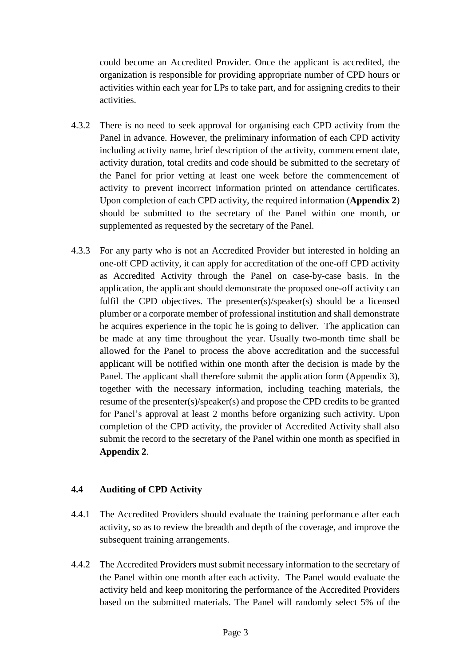organization is responsible for providing appropriate number of CPD hours or activities within each year for LPs to take part, and for assigning credits to their could become an Accredited Provider. Once the applicant is accredited, the activities.

- 4.3.2 There is no need to seek approval for organising each CPD activity from the including activity name, brief description of the activity, commencement date, activity duration, total credits and code should be submitted to the secretary of the Panel for prior vetting at least one week before the commencement of should be submitted to the secretary of the Panel within one month, or Panel in advance. However, the preliminary information of each CPD activity activity to prevent incorrect information printed on attendance certificates. Upon completion of each CPD activity, the required information (**Appendix 2**) supplemented as requested by the secretary of the Panel.
- as Accredited Activity through the Panel on case-by-case basis. In the fulfil the CPD objectives. The presenter(s)/speaker(s) should be a licensed plumber or a corporate member of professional institution and shall demonstrate he acquires experience in the topic he is going to deliver. The application can be made at any time throughout the year. Usually two-month time shall be applicant will be notified within one month after the decision is made by the resume of the presenter(s)/speaker(s) and propose the CPD credits to be granted completion of the CPD activity, the provider of Accredited Activity shall also 4.3.3 For any party who is not an Accredited Provider but interested in holding an one-off CPD activity, it can apply for accreditation of the one-off CPD activity application, the applicant should demonstrate the proposed one-off activity can allowed for the Panel to process the above accreditation and the successful Panel. The applicant shall therefore submit the application form (Appendix 3), together with the necessary information, including teaching materials, the for Panel's approval at least 2 months before organizing such activity. Upon submit the record to the secretary of the Panel within one month as specified in **Appendix 2**.

#### **4.4 Auditing of CPD Activity**

- 4.4.1 The Accredited Providers should evaluate the training performance after each activity, so as to review the breadth and depth of the coverage, and improve the subsequent training arrangements.
- 4.4.2 The Accredited Providers must submit necessary information to the secretary of based on the submitted materials. The Panel will randomly select 5% of the the Panel within one month after each activity. The Panel would evaluate the activity held and keep monitoring the performance of the Accredited Providers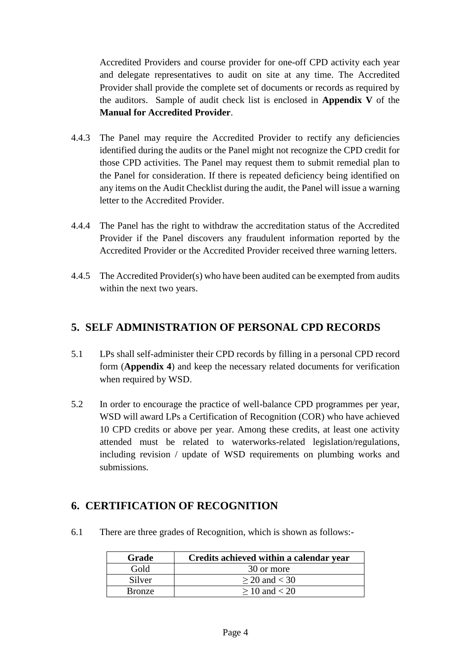Accredited Providers and course provider for one-off CPD activity each year and delegate representatives to audit on site at any time. The Accredited Provider shall provide the complete set of documents or records as required by the auditors. Sample of audit check list is enclosed in **Appendix V** of the **Manual for Accredited Provider**.

- 4.4.3 The Panel may require the Accredited Provider to rectify any deficiencies identified during the audits or the Panel might not recognize the CPD credit for the Panel for consideration. If there is repeated deficiency being identified on those CPD activities. The Panel may request them to submit remedial plan to any items on the Audit Checklist during the audit, the Panel will issue a warning letter to the Accredited Provider.
- 4.4.4 The Panel has the right to withdraw the accreditation status of the Accredited Provider if the Panel discovers any fraudulent information reported by the Accredited Provider or the Accredited Provider received three warning letters.
- 4.4.5 The Accredited Provider(s) who have been audited can be exempted from audits within the next two years.

## <span id="page-5-0"></span>**5. SELF ADMINISTRATION OF PERSONAL CPD RECORDS**

- 5.1 LPs shall self-administer their CPD records by filling in a personal CPD record form (**Appendix 4**) and keep the necessary related documents for verification when required by WSD.
- 5.2 In order to encourage the practice of well-balance CPD programmes per year, 10 CPD credits or above per year. Among these credits, at least one activity WSD will award LPs a Certification of Recognition (COR) who have achieved attended must be related to waterworks-related legislation/regulations, including revision / update of WSD requirements on plumbing works and submissions.

## <span id="page-5-1"></span> **6. CERTIFICATION OF RECOGNITION**

6.1 There are three grades of Recognition, which is shown as follows:-

| Grade         | Credits achieved within a calendar year |
|---------------|-----------------------------------------|
| Gold          | 30 or more                              |
| Silver        | $\geq$ 20 and < 30                      |
| <b>Bronze</b> | $\geq 10$ and $< 20$                    |